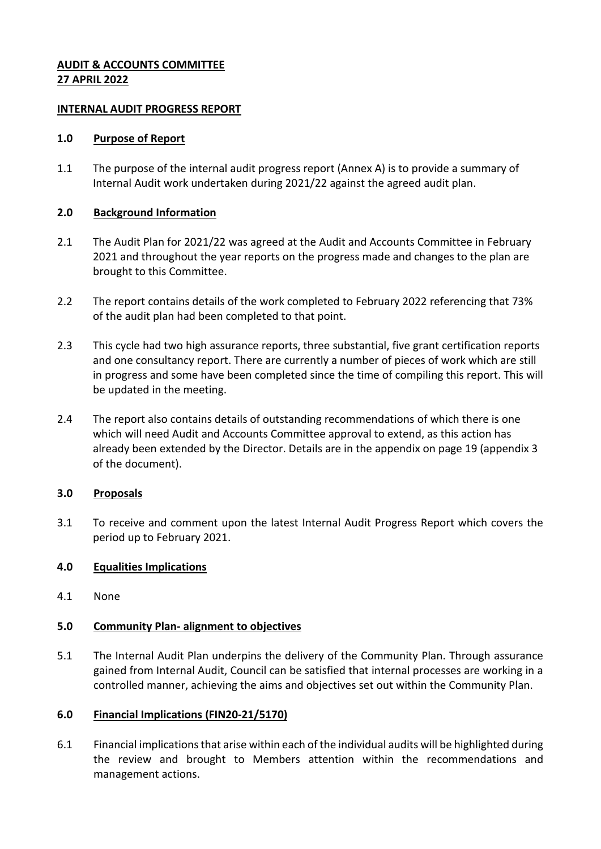### **AUDIT & ACCOUNTS COMMITTEE 27 APRIL 2022**

### **INTERNAL AUDIT PROGRESS REPORT**

#### **1.0 Purpose of Report**

1.1 The purpose of the internal audit progress report (Annex A) is to provide a summary of Internal Audit work undertaken during 2021/22 against the agreed audit plan.

### **2.0 Background Information**

- 2.1 The Audit Plan for 2021/22 was agreed at the Audit and Accounts Committee in February 2021 and throughout the year reports on the progress made and changes to the plan are brought to this Committee.
- 2.2 The report contains details of the work completed to February 2022 referencing that 73% of the audit plan had been completed to that point.
- 2.3 This cycle had two high assurance reports, three substantial, five grant certification reports and one consultancy report. There are currently a number of pieces of work which are still in progress and some have been completed since the time of compiling this report. This will be updated in the meeting.
- 2.4 The report also contains details of outstanding recommendations of which there is one which will need Audit and Accounts Committee approval to extend, as this action has already been extended by the Director. Details are in the appendix on page 19 (appendix 3 of the document).

### **3.0 Proposals**

3.1 To receive and comment upon the latest Internal Audit Progress Report which covers the period up to February 2021.

### **4.0 Equalities Implications**

4.1 None

### **5.0 Community Plan- alignment to objectives**

5.1 The Internal Audit Plan underpins the delivery of the Community Plan. Through assurance gained from Internal Audit, Council can be satisfied that internal processes are working in a controlled manner, achieving the aims and objectives set out within the Community Plan.

#### **6.0 Financial Implications (FIN20-21/5170)**

6.1 Financial implications that arise within each of the individual audits will be highlighted during the review and brought to Members attention within the recommendations and management actions.